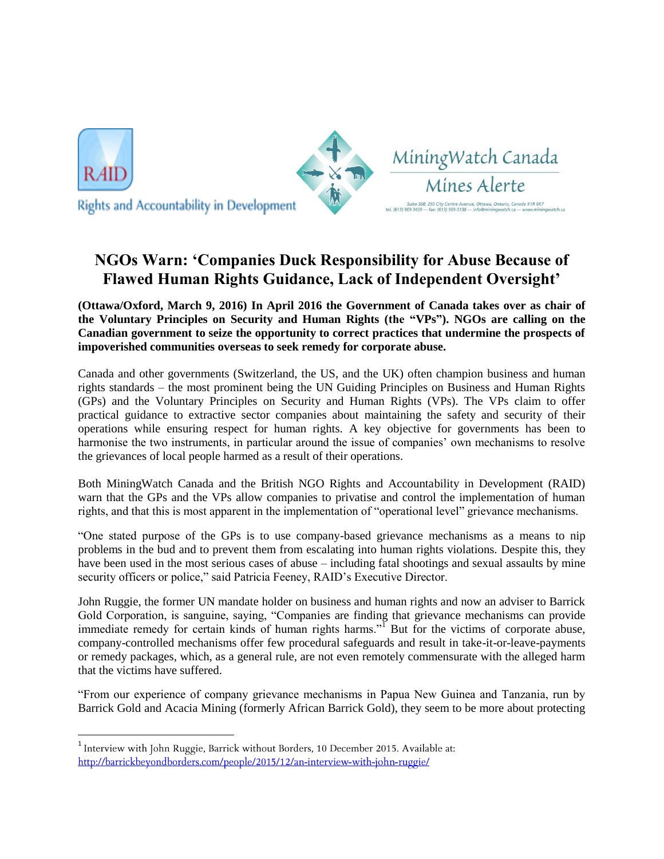

 $\overline{a}$ 



## **NGOs Warn: 'Companies Duck Responsibility for Abuse Because of Flawed Human Rights Guidance, Lack of Independent Oversight'**

MiningWatch Canada

Mines Alerte -<br>Suite 508, 250 City Centre Avenue, Ottawa, Ontario, Canada K1R 6K7<br>69-3439 — fax: (613) 569-5138 — info@miningwatch.ca — www.minin

**(Ottawa/Oxford, March 9, 2016) In April 2016 the Government of Canada takes over as chair of the Voluntary Principles on Security and Human Rights (the "VPs"). NGOs are calling on the Canadian government to seize the opportunity to correct practices that undermine the prospects of impoverished communities overseas to seek remedy for corporate abuse.**

Canada and other governments (Switzerland, the US, and the UK) often champion business and human rights standards – the most prominent being the UN Guiding Principles on Business and Human Rights (GPs) and the Voluntary Principles on Security and Human Rights (VPs). The VPs claim to offer practical guidance to extractive sector companies about maintaining the safety and security of their operations while ensuring respect for human rights. A key objective for governments has been to harmonise the two instruments, in particular around the issue of companies' own mechanisms to resolve the grievances of local people harmed as a result of their operations.

Both MiningWatch Canada and the British NGO Rights and Accountability in Development (RAID) warn that the GPs and the VPs allow companies to privatise and control the implementation of human rights, and that this is most apparent in the implementation of "operational level" grievance mechanisms.

"One stated purpose of the GPs is to use company-based grievance mechanisms as a means to nip problems in the bud and to prevent them from escalating into human rights violations. Despite this, they have been used in the most serious cases of abuse – including fatal shootings and sexual assaults by mine security officers or police," said Patricia Feeney, RAID's Executive Director.

John Ruggie, the former UN mandate holder on business and human rights and now an adviser to Barrick Gold Corporation, is sanguine, saying, "Companies are finding that grievance mechanisms can provide immediate remedy for certain kinds of human rights harms."<sup>I</sup> But for the victims of corporate abuse, company-controlled mechanisms offer few procedural safeguards and result in take-it-or-leave-payments or remedy packages, which, as a general rule, are not even remotely commensurate with the alleged harm that the victims have suffered.

"From our experience of company grievance mechanisms in Papua New Guinea and Tanzania, run by Barrick Gold and Acacia Mining (formerly African Barrick Gold), they seem to be more about protecting

<sup>&</sup>lt;sup>1</sup> Interview with John Ruggie, Barrick without Borders, 10 December 2015. Available at: http://barrickbeyondborders.com/people/2015/12/an-interview-with-john-ruggie/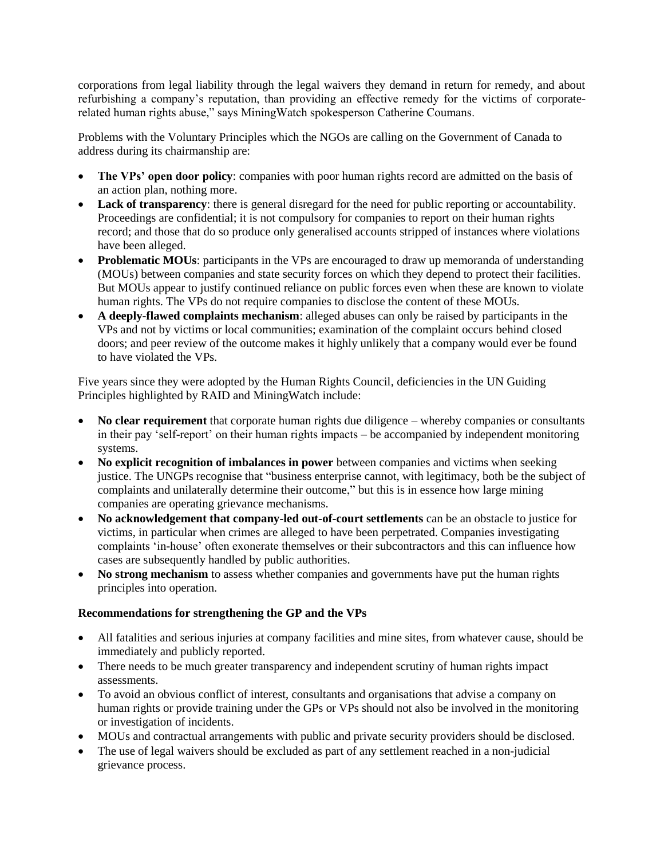corporations from legal liability through the legal waivers they demand in return for remedy, and about refurbishing a company's reputation, than providing an effective remedy for the victims of corporaterelated human rights abuse," says MiningWatch spokesperson Catherine Coumans.

Problems with the Voluntary Principles which the NGOs are calling on the Government of Canada to address during its chairmanship are:

- The VPs' open door policy: companies with poor human rights record are admitted on the basis of an action plan, nothing more.
- **Lack of transparency**: there is general disregard for the need for public reporting or accountability. Proceedings are confidential; it is not compulsory for companies to report on their human rights record; and those that do so produce only generalised accounts stripped of instances where violations have been alleged.
- **Problematic MOUs**: participants in the VPs are encouraged to draw up memoranda of understanding (MOUs) between companies and state security forces on which they depend to protect their facilities. But MOUs appear to justify continued reliance on public forces even when these are known to violate human rights. The VPs do not require companies to disclose the content of these MOUs.
- **A deeply-flawed complaints mechanism**: alleged abuses can only be raised by participants in the VPs and not by victims or local communities; examination of the complaint occurs behind closed doors; and peer review of the outcome makes it highly unlikely that a company would ever be found to have violated the VPs.

Five years since they were adopted by the Human Rights Council, deficiencies in the UN Guiding Principles highlighted by RAID and MiningWatch include:

- **No clear requirement** that corporate human rights due diligence whereby companies or consultants in their pay 'self-report' on their human rights impacts – be accompanied by independent monitoring systems.
- No explicit recognition of imbalances in power between companies and victims when seeking justice. The UNGPs recognise that "business enterprise cannot, with legitimacy, both be the subject of complaints and unilaterally determine their outcome," but this is in essence how large mining companies are operating grievance mechanisms.
- **No acknowledgement that company-led out-of-court settlements** can be an obstacle to justice for victims, in particular when crimes are alleged to have been perpetrated. Companies investigating complaints 'in-house' often exonerate themselves or their subcontractors and this can influence how cases are subsequently handled by public authorities.
- **No strong mechanism** to assess whether companies and governments have put the human rights principles into operation.

## **Recommendations for strengthening the GP and the VPs**

- All fatalities and serious injuries at company facilities and mine sites, from whatever cause, should be immediately and publicly reported.
- There needs to be much greater transparency and independent scrutiny of human rights impact assessments.
- To avoid an obvious conflict of interest, consultants and organisations that advise a company on human rights or provide training under the GPs or VPs should not also be involved in the monitoring or investigation of incidents.
- MOUs and contractual arrangements with public and private security providers should be disclosed.
- The use of legal waivers should be excluded as part of any settlement reached in a non-judicial grievance process.